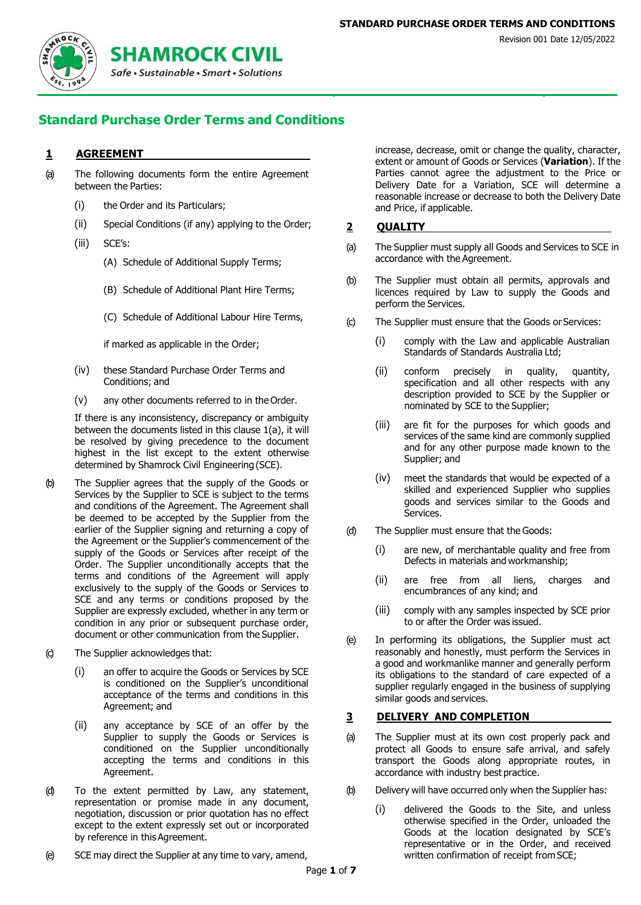

# **Standard Purchase Order Terms and Conditions**

#### **1 AGREEMENT**

- <span id="page-0-0"></span>(a) The following documents form the entire Agreement between the Parties:
	- (i) the Order and its Particulars;
	- (ii) Special Conditions (if any) applying to the Order;
	- (iii) SCE's:
		- (A) Schedule of Additional Supply Terms;
		- (B) Schedule of Additional Plant Hire Terms;
		- (C) Schedule of Additional Labour Hire Terms,

if marked as applicable in the Order;

- (iv) these Standard Purchase Order Terms and Conditions; and
- (v) any other documents referred to in the Order.

If there is any inconsistency, discrepancy or ambiguity between the documents listed in this clause 1(a), it will be resolved by giving precedence to the document highest in the list except to the extent otherwise determined by Shamrock Civil Engineering (SCE).

- (b) The Supplier agrees that the supply of the Goods or Services by the Supplier to SCE is subject to the terms and conditions of the Agreement. The Agreement shall be deemed to be accepted by the Supplier from the earlier of the Supplier signing and returning a copy of the Agreement or the Supplier's commencement of the supply of the Goods or Services after receipt of the Order. The Supplier unconditionally accepts that the terms and conditions of the Agreement will apply exclusively to the supply of the Goods or Services to SCE and any terms or conditions proposed by the Supplier are expressly excluded, whether in any term or condition in any prior or subsequent purchase order, document or other communication from the Supplier.
- (c) The Supplier acknowledges that:
	- (i) an offer to acquire the Goods or Services by SCE is conditioned on the Supplier's unconditional acceptance of the terms and conditions in this Agreement; and
	- (ii) any acceptance by SCE of an offer by the Supplier to supply the Goods or Services is conditioned on the Supplier unconditionally accepting the terms and conditions in this Agreement.
- (d) To the extent permitted by Law, any statement, representation or promise made in any document, negotiation, discussion or prior quotation has no effect except to the extent expressly set out or incorporated by reference in this Agreement.
- <span id="page-0-1"></span>(e) SCE may direct the Supplier at any time to vary, amend,

increase, decrease, omit or change the quality, character, extent or amount of Goods or Services (**Variation**). If the Parties cannot agree the adjustment to the Price or Delivery Date for a Variation, SCE will determine a reasonable increase or decrease to both the Delivery Date and Price, if applicable.

#### **2 QUALITY**

- (a) The Supplier must supply all Goods and Services to SCE in accordance with the Agreement.
- (b) The Supplier must obtain all permits, approvals and licences required by Law to supply the Goods and perform the Services.
- (c) The Supplier must ensure that the Goods or Services:
	- (i) comply with the Law and applicable Australian Standards of Standards Australia Ltd;
	- (ii) conform precisely in quality, quantity, specification and all other respects with any description provided to SCE by the Supplier or nominated by SCE to the Supplier;
	- (iii) are fit for the purposes for which goods and services of the same kind are commonly supplied and for any other purpose made known to the Supplier; and
	- (iv) meet the standards that would be expected of a skilled and experienced Supplier who supplies goods and services similar to the Goods and Services.
- (d) The Supplier must ensure that the Goods:
	- (i) are new, of merchantable quality and free from Defects in materials and workmanship;
	- (ii) are free from all liens, charges and encumbrances of any kind; and
	- (iii) comply with any samples inspected by SCE prior to or after the Order was issued.
- (e) In performing its obligations, the Supplier must act reasonably and honestly, must perform the Services in a good and workmanlike manner and generally perform its obligations to the standard of care expected of a supplier regularly engaged in the business of supplying similar goods and services.

#### **3 DELIVERY AND COMPLETION**

- (a) The Supplier must at its own cost properly pack and protect all Goods to ensure safe arrival, and safely transport the Goods along appropriate routes, in accordance with industry best practice.
- (b) Delivery will have occurred only when the Supplier has:
	- (i) delivered the Goods to the Site, and unless otherwise specified in the Order, unloaded the Goods at the location designated by SCE's representative or in the Order, and received written confirmation of receipt from SCE;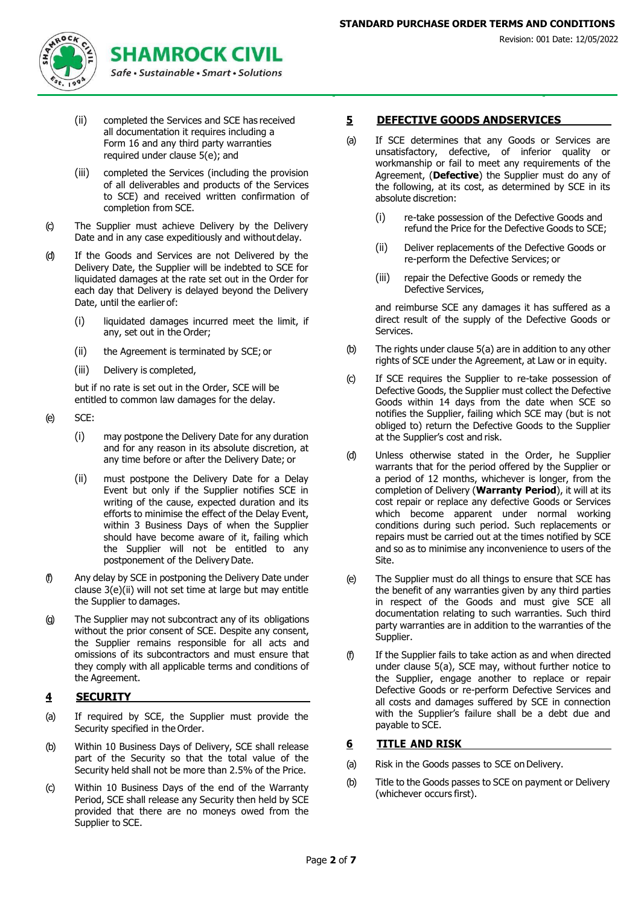

- (ii) completed the Services and SCE has received all documentation it requires including a Form 16 and any third party warranties required under clause 5(e); and
- (iii) completed the Services (including the provision of all deliverables and products of the Services to SCE) and received written confirmation of completion from SCE.
- (c) The Supplier must achieve Delivery by the Delivery Date and in any case expeditiously and withoutdelay.
- (d) If the Goods and Services are not Delivered by the Delivery Date, the Supplier will be indebted to SCE for liquidated damages at the rate set out in the Order for each day that Delivery is delayed beyond the Delivery Date, until the earlier of:
	- (i) liquidated damages incurred meet the limit, if any, set out in the Order;
	- (ii) the Agreement is terminated by SCE; or
	- (iii) Delivery is completed,

but if no rate is set out in the Order, SCE will be entitled to common law damages for the delay.

- (e) SCE:
	- (i) may postpone the Delivery Date for any duration and for any reason in its absolute discretion, at any time before or after the Delivery Date; or
	- (ii) must postpone the Delivery Date for a Delay Event but only if the Supplier notifies SCE in writing of the cause, expected duration and its efforts to minimise the effect of the Delay Event, within 3 Business Days of when the Supplier should have become aware of it, failing which the Supplier will not be entitled to any postponement of the Delivery Date.
- (f) Any delay by SCE in postponing the Delivery Date under clause 3(e)(ii) will not set time at large but may entitle the Supplier to damages.
- (g) The Supplier may not subcontract any of its obligations without the prior consent of SCE. Despite any consent, the Supplier remains responsible for all acts and omissions of its subcontractors and must ensure that they comply with all applicable terms and conditions of the Agreement.

## **4 SECURITY**

- (a) If required by SCE, the Supplier must provide the Security specified in the Order.
- (b) Within 10 Business Days of Delivery, SCE shall release part of the Security so that the total value of the Security held shall not be more than 2.5% of the Price.
- (c) Within 10 Business Days of the end of the Warranty Period, SCE shall release any Security then held by SCE provided that there are no moneys owed from the Supplier to SCE.

#### **5 DEFECTIVE GOODS ANDSERVICES**

- <span id="page-1-0"></span>(a) If SCE determines that any Goods or Services are unsatisfactory, defective, of inferior quality or workmanship or fail to meet any requirements of the Agreement, (**Defective**) the Supplier must do any of the following, at its cost, as determined by SCE in its absolute discretion:
	- (i) re-take possession of the Defective Goods and refund the Price for the Defective Goods to SCE;
	- (ii) Deliver replacements of the Defective Goods or re-perform the Defective Services; or
	- (iii) repair the Defective Goods or remedy the Defective Services,

and reimburse SCE any damages it has suffered as a direct result of the supply of the Defective Goods or Services.

- (b) The rights under clause 5(a) are in addition to any other rights of SCE under the Agreement, at Law or in equity.
- (c) If SCE requires the Supplier to re-take possession of Defective Goods, the Supplier must collect the Defective Goods within 14 days from the date when SCE so notifies the Supplier, failing which SCE may (but is not obliged to) return the Defective Goods to the Supplier at the Supplier's cost and risk.
- <span id="page-1-1"></span>(d) Unless otherwise stated in the Order, he Supplier warrants that for the period offered by the Supplier or a period of 12 months, whichever is longer, from the completion of Delivery (**Warranty Period**), it will at its cost repair or replace any defective Goods or Services which become apparent under normal working conditions during such period. Such replacements or repairs must be carried out at the times notified by SCE and so as to minimise any inconvenience to users of the Site.
- (e) The Supplier must do all things to ensure that SCE has the benefit of any warranties given by any third parties in respect of the Goods and must give SCE all documentation relating to such warranties. Such third party warranties are in addition to the warranties of the Supplier.
- (f) If the Supplier fails to take action as and when directed under clause 5(a), SCE may, without further notice to the Supplier, engage another to replace or repair Defective Goods or re-perform Defective Services and all costs and damages suffered by SCE in connection with the Supplier's failure shall be a debt due and payable to SCE.

#### **6 TITLE AND RISK**

- (a) Risk in the Goods passes to SCE on Delivery.
- (b) Title to the Goods passes to SCE on payment or Delivery (whichever occurs first).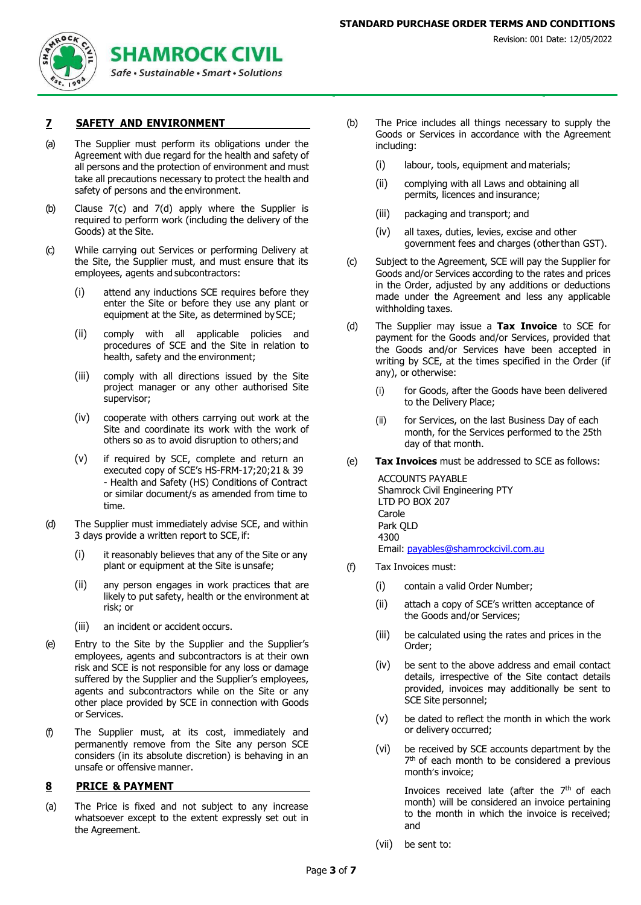

#### **7 SAFETY AND ENVIRONMENT**

- (a) The Supplier must perform its obligations under the Agreement with due regard for the health and safety of all persons and the protection of environment and must take all precautions necessary to protect the health and safety of persons and the environment.
- (b) Clause 7(c) and 7(d) apply where the Supplier is required to perform work (including the delivery of the Goods) at the Site.
- (c) While carrying out Services or performing Delivery at the Site, the Supplier must, and must ensure that its employees, agents and subcontractors:
	- (i) attend any inductions SCE requires before they enter the Site or before they use any plant or equipment at the Site, as determined by SCE;
	- (ii) comply with all applicable policies and procedures of SCE and the Site in relation to health, safety and the environment;
	- (iii) comply with all directions issued by the Site project manager or any other authorised Site supervisor;
	- (iv) cooperate with others carrying out work at the Site and coordinate its work with the work of others so as to avoid disruption to others;and
	- (v) if required by SCE, complete and return an executed copy of SCE's HS-FRM-17;20;21 & 39 - Health and Safety (HS) Conditions of Contract or similar document/s as amended from time to time.
- (d) The Supplier must immediately advise SCE, and within 3 days provide a written report to SCE,if:
	- (i) it reasonably believes that any of the Site or any plant or equipment at the Site is unsafe;
	- (ii) any person engages in work practices that are likely to put safety, health or the environment at risk; or
	- (iii) an incident or accident occurs.
- (e) Entry to the Site by the Supplier and the Supplier's employees, agents and subcontractors is at their own risk and SCE is not responsible for any loss or damage suffered by the Supplier and the Supplier's employees, agents and subcontractors while on the Site or any other place provided by SCE in connection with Goods or Services.
- (f) The Supplier must, at its cost, immediately and permanently remove from the Site any person SCE considers (in its absolute discretion) is behaving in an unsafe or offensive manner.

#### **8 PRICE & PAYMENT**

(a) The Price is fixed and not subject to any increase whatsoever except to the extent expressly set out in the Agreement.

- (b) The Price includes all things necessary to supply the Goods or Services in accordance with the Agreement including:
	- (i) labour, tools, equipment and materials;
	- (ii) complying with all Laws and obtaining all permits, licences and insurance;
	- (iii) packaging and transport; and
	- (iv) all taxes, duties, levies, excise and other government fees and charges (otherthan GST).
- (c) Subject to the Agreement, SCE will pay the Supplier for Goods and/or Services according to the rates and prices in the Order, adjusted by any additions or deductions made under the Agreement and less any applicable withholding taxes.
- (d) The Supplier may issue a **Tax Invoice** to SCE for payment for the Goods and/or Services, provided that the Goods and/or Services have been accepted in writing by SCE, at the times specified in the Order (if any), or otherwise:
	- (i) for Goods, after the Goods have been delivered to the Delivery Place;
	- (ii) for Services, on the last Business Day of each month, for the Services performed to the 25th day of that month.
- (e) **Tax Invoices** must be addressed to SCE as follows:

ACCOUNTS PAYABLE Shamrock Civil Engineering PTY LTD PO BOX 207 Carole Park QLD 4300 Email: [payables@shamrockcivil.com.au](mailto:payables@shamrockcivil.com.au)

- (f) Tax Invoices must:
	- (i) contain a valid Order Number;
	- (ii) attach a copy of SCE's written acceptance of the Goods and/or Services;
	- (iii) be calculated using the rates and prices in the Order;
	- (iv) be sent to the above address and email contact details, irrespective of the Site contact details provided, invoices may additionally be sent to SCE Site personnel;
	- (v) be dated to reflect the month in which the work or delivery occurred;
	- (vi) be received by SCE accounts department by the 7<sup>th</sup> of each month to be considered a previous month's invoice;

Invoices received late (after the 7<sup>th</sup> of each month) will be considered an invoice pertaining to the month in which the invoice is received; and

(vii) be sent to: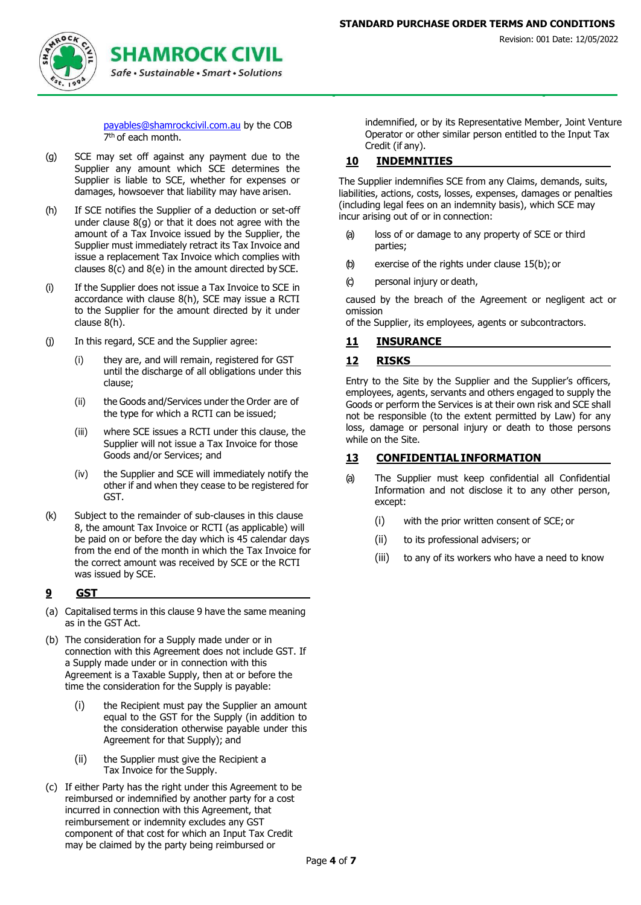

[payables@shamrockcivil.com.au](mailto:payables@shamrockcivil.com.au) by the COB 7<sup>th</sup> of each month.

- (g) SCE may set off against any payment due to the Supplier any amount which SCE determines the Supplier is liable to SCE, whether for expenses or damages, howsoever that liability may have arisen.
- (h) If SCE notifies the Supplier of a deduction or set-off under clause 8(g) or that it does not agree with the amount of a Tax Invoice issued by the Supplier, the Supplier must immediately retract its Tax Invoice and issue a replacement Tax Invoice which complies with clauses 8(c) and 8(e) in the amount directed by SCE.
- (i) If the Supplier does not issue a Tax Invoice to SCE in accordance with clause 8(h), SCE may issue a RCTI to the Supplier for the amount directed by it under clause 8(h).
- (j) In this regard, SCE and the Supplier agree:
	- (i) they are, and will remain, registered for GST until the discharge of all obligations under this clause;
	- (ii) the Goods and/Services under the Order are of the type for which a RCTI can be issued;
	- (iii) where SCE issues a RCTI under this clause, the Supplier will not issue a Tax Invoice for those Goods and/or Services; and
	- (iv) the Supplier and SCE will immediately notify the other if and when they cease to be registered for GST.
- (k) Subject to the remainder of sub-clauses in this clause 8, the amount Tax Invoice or RCTI (as applicable) will be paid on or before the day which is 45 calendar days from the end of the month in which the Tax Invoice for the correct amount was received by SCE or the RCTI was issued by SCE.

## **9 GST**

- (a) Capitalised terms in this clause 9 have the same meaning as in the GST Act.
- (b) The consideration for a Supply made under or in connection with this Agreement does not include GST. If a Supply made under or in connection with this Agreement is a Taxable Supply, then at or before the time the consideration for the Supply is payable:
	- (i) the Recipient must pay the Supplier an amount equal to the GST for the Supply (in addition to the consideration otherwise payable under this Agreement for that Supply); and
	- (ii) the Supplier must give the Recipient a Tax Invoice for the Supply.
- (c) If either Party has the right under this Agreement to be reimbursed or indemnified by another party for a cost incurred in connection with this Agreement, that reimbursement or indemnity excludes any GST component of that cost for which an Input Tax Credit may be claimed by the party being reimbursed or

indemnified, or by its Representative Member, Joint Venture Operator or other similar person entitled to the Input Tax Credit (if any).

## **10 INDEMNITIES**

The Supplier indemnifies SCE from any Claims, demands, suits, liabilities, actions, costs, losses, expenses, damages or penalties (including legal fees on an indemnity basis), which SCE may incur arising out of or in connection:

- (a) loss of or damage to any property of SCE or third parties;
- (b) exercise of the rights under clause 15(b); or
- (c) personal injury or death,

caused by the breach of the Agreement or negligent act or omission

of the Supplier, its employees, agents or subcontractors.

#### **11 INSURANCE**

#### **12 RISKS**

Entry to the Site by the Supplier and the Supplier's officers, employees, agents, servants and others engaged to supply the Goods or perform the Services is at their own risk and SCE shall not be responsible (to the extent permitted by Law) for any loss, damage or personal injury or death to those persons while on the Site.

## **13 CONFIDENTIAL INFORMATION**

- (a) The Supplier must keep confidential all Confidential Information and not disclose it to any other person, except:
	- (i) with the prior written consent of SCE; or
	- (ii) to its professional advisers; or
	- (iii) to any of its workers who have a need to know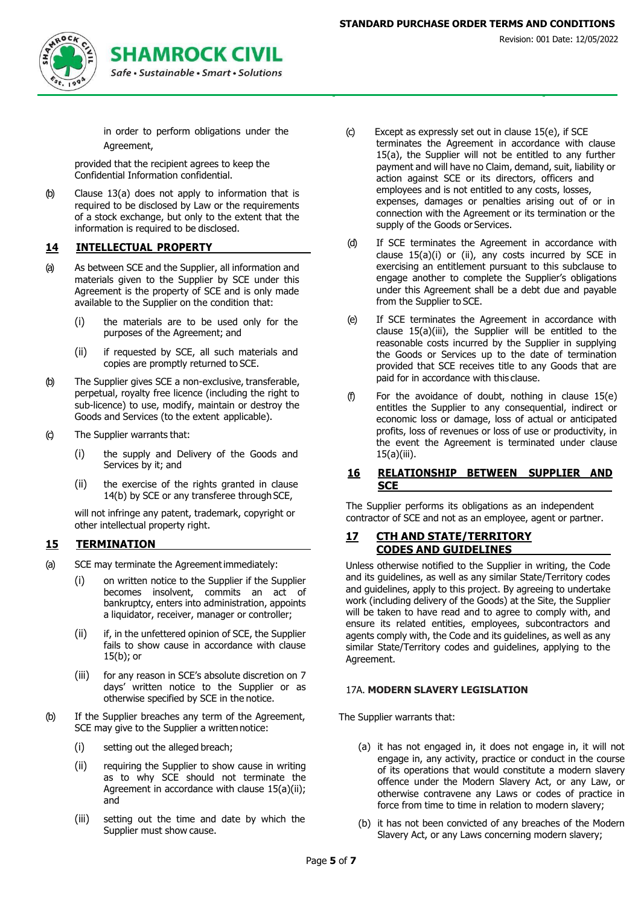

# **SHAMROCK CIVIL**

in order to perform obligations under the Agreement,

provided that the recipient agrees to keep the Confidential Information confidential.

(b) Clause 13(a) does not apply to information that is required to be disclosed by Law or the requirements of a stock exchange, but only to the extent that the information is required to be disclosed.

#### **14 INTELLECTUAL PROPERTY**

- (a) As between SCE and the Supplier, all information and materials given to the Supplier by SCE under this Agreement is the property of SCE and is only made available to the Supplier on the condition that:
	- (i) the materials are to be used only for the purposes of the Agreement; and
	- (ii) if requested by SCE, all such materials and copies are promptly returned to SCE.
- (b) The Supplier gives SCE a non-exclusive, transferable, perpetual, royalty free licence (including the right to sub-licence) to use, modify, maintain or destroy the Goods and Services (to the extent applicable).
- (c) The Supplier warrants that:
	- (i) the supply and Delivery of the Goods and Services by it; and
	- (ii) the exercise of the rights granted in clause 14(b) by SCE or any transferee through SCE,

will not infringe any patent, trademark, copyright or other intellectual property right.

#### **15 TERMINATION**

- (a) SCE may terminate the Agreementimmediately:
	- (i) on written notice to the Supplier if the Supplier becomes insolvent, commits an act of bankruptcy, enters into administration, appoints a liquidator, receiver, manager or controller;
	- (ii) if, in the unfettered opinion of SCE, the Supplier fails to show cause in accordance with clause 15(b); or
	- (iii) for any reason in SCE's absolute discretion on 7 days' written notice to the Supplier or as otherwise specified by SCE in the notice.
- (b) If the Supplier breaches any term of the Agreement, SCE may give to the Supplier a written notice:
	- (i) setting out the alleged breach;
	- (ii) requiring the Supplier to show cause in writing as to why SCE should not terminate the Agreement in accordance with clause 15(a)(ii); and
	- (iii) setting out the time and date by which the Supplier must show cause.
- (c) Except as expressly set out in clause 15(e), if SCE terminates the Agreement in accordance with clause 15(a), the Supplier will not be entitled to any further payment and will have no Claim, demand, suit, liability or action against SCE or its directors, officers and employees and is not entitled to any costs, losses, expenses, damages or penalties arising out of or in connection with the Agreement or its termination or the supply of the Goods or Services.
- (d) If SCE terminates the Agreement in accordance with clause 15(a)(i) or (ii), any costs incurred by SCE in exercising an entitlement pursuant to this subclause to engage another to complete the Supplier's obligations under this Agreement shall be a debt due and payable from the Supplier to SCE.
- (e) If SCE terminates the Agreement in accordance with clause 15(a)(iii), the Supplier will be entitled to the reasonable costs incurred by the Supplier in supplying the Goods or Services up to the date of termination provided that SCE receives title to any Goods that are paid for in accordance with this clause.
- (f) For the avoidance of doubt, nothing in clause 15(e) entitles the Supplier to any consequential, indirect or economic loss or damage, loss of actual or anticipated profits, loss of revenues or loss of use or productivity, in the event the Agreement is terminated under clause 15(a)(iii).

#### **16 RELATIONSHIP BETWEEN SUPPLIER AND SCE**

The Supplier performs its obligations as an independent contractor of SCE and not as an employee, agent or partner.

#### **17 CTH AND STATE/TERRITORY CODES AND GUIDELINES**

Unless otherwise notified to the Supplier in writing, the Code and its guidelines, as well as any similar State/Territory codes and guidelines, apply to this project. By agreeing to undertake work (including delivery of the Goods) at the Site, the Supplier will be taken to have read and to agree to comply with, and ensure its related entities, employees, subcontractors and agents comply with, the Code and its guidelines, as well as any similar State/Territory codes and guidelines, applying to the Agreement.

#### 17A. **MODERN SLAVERY LEGISLATION**

The Supplier warrants that:

- (a) it has not engaged in, it does not engage in, it will not engage in, any activity, practice or conduct in the course of its operations that would constitute a modern slavery offence under the Modern Slavery Act, or any Law, or otherwise contravene any Laws or codes of practice in force from time to time in relation to modern slavery;
- (b) it has not been convicted of any breaches of the Modern Slavery Act, or any Laws concerning modern slavery;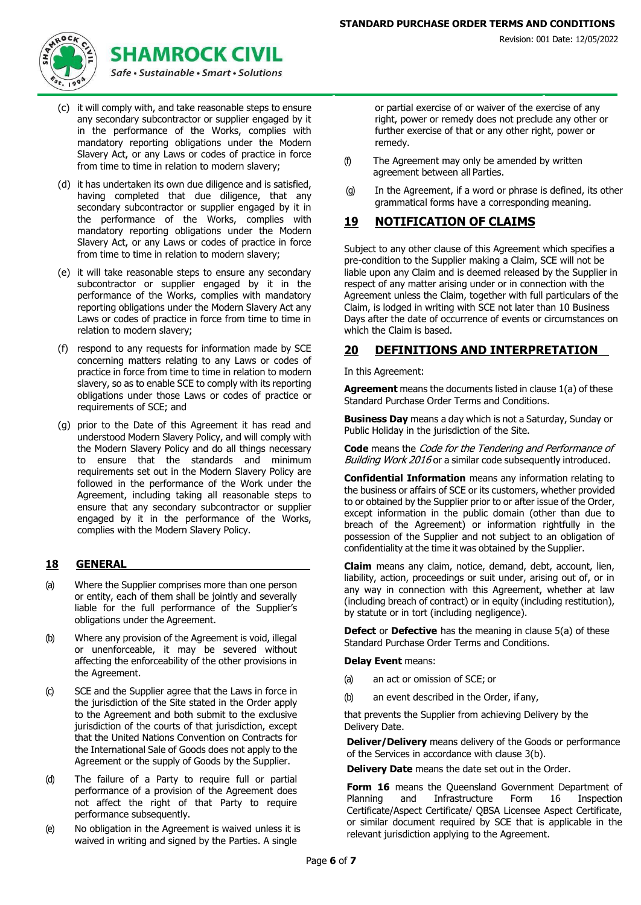

- (c) it will comply with, and take reasonable steps to ensure any secondary subcontractor or supplier engaged by it in the performance of the Works, complies with mandatory reporting obligations under the Modern Slavery Act, or any Laws or codes of practice in force from time to time in relation to modern slavery;
- (d) it has undertaken its own due diligence and is satisfied, having completed that due diligence, that any secondary subcontractor or supplier engaged by it in the performance of the Works, complies with mandatory reporting obligations under the Modern Slavery Act, or any Laws or codes of practice in force from time to time in relation to modern slavery;
- (e) it will take reasonable steps to ensure any secondary subcontractor or supplier engaged by it in the performance of the Works, complies with mandatory reporting obligations under the Modern Slavery Act any Laws or codes of practice in force from time to time in relation to modern slavery;
- (f) respond to any requests for information made by SCE concerning matters relating to any Laws or codes of practice in force from time to time in relation to modern slavery, so as to enable SCE to comply with its reporting obligations under those Laws or codes of practice or requirements of SCE; and
- (g) prior to the Date of this Agreement it has read and understood Modern Slavery Policy, and will comply with the Modern Slavery Policy and do all things necessary to ensure that the standards and minimum requirements set out in the Modern Slavery Policy are followed in the performance of the Work under the Agreement, including taking all reasonable steps to ensure that any secondary subcontractor or supplier engaged by it in the performance of the Works, complies with the Modern Slavery Policy.

## **18 GENERAL**

- (a) Where the Supplier comprises more than one person or entity, each of them shall be jointly and severally liable for the full performance of the Supplier's obligations under the Agreement.
- (b) Where any provision of the Agreement is void, illegal or unenforceable, it may be severed without affecting the enforceability of the other provisions in the Agreement.
- (c) SCE and the Supplier agree that the Laws in force in the jurisdiction of the Site stated in the Order apply to the Agreement and both submit to the exclusive jurisdiction of the courts of that jurisdiction, except that the United Nations Convention on Contracts for the International Sale of Goods does not apply to the Agreement or the supply of Goods by the Supplier.
- (d) The failure of a Party to require full or partial performance of a provision of the Agreement does not affect the right of that Party to require performance subsequently.
- (e) No obligation in the Agreement is waived unless it is waived in writing and signed by the Parties. A single

or partial exercise of or waiver of the exercise of any right, power or remedy does not preclude any other or further exercise of that or any other right, power or remedy.

- (f) The Agreement may only be amended by written agreement between all Parties.
- (g) In the Agreement, if a word or phrase is defined, its other grammatical forms have a corresponding meaning.

#### **19 NOTIFICATION OF CLAIMS**

Subject to any other clause of this Agreement which specifies a pre-condition to the Supplier making a Claim, SCE will not be liable upon any Claim and is deemed released by the Supplier in respect of any matter arising under or in connection with the Agreement unless the Claim, together with full particulars of the Claim, is lodged in writing with SCE not later than 10 Business Days after the date of occurrence of events or circumstances on which the Claim is based.

## **20 DEFINITIONS AND INTERPRETATION**

In this Agreement:

**Agreement** means the documents listed in clause [1\(a\)](#page-0-0) of these Standard Purchase Order Terms and Conditions.

**Business Day** means a day which is not a Saturday, Sunday or Public Holiday in the jurisdiction of the Site.

**Code** means the Code for the Tendering and Performance of Building Work 2016 or a similar code subsequently introduced.

**Confidential Information** means any information relating to the business or affairs of SCE or its customers, whether provided to or obtained by the Supplier prior to or after issue of the Order, except information in the public domain (other than due to breach of the Agreement) or information rightfully in the possession of the Supplier and not subject to an obligation of confidentiality at the time it was obtained by the Supplier.

**Claim** means any claim, notice, demand, debt, account, lien, liability, action, proceedings or suit under, arising out of, or in any way in connection with this Agreement, whether at law (including breach of contract) or in equity (including restitution), by statute or in tort (including negligence).

**Defect** or **Defective** has the meaning in clause [5\(a\) o](#page-1-0)f these Standard Purchase Order Terms and Conditions.

**Delay Event** means:

- (a) an act or omission of SCE; or
- (b) an event described in the Order, if any,

that prevents the Supplier from achieving Delivery by the Delivery Date.

**Deliver/Delivery** means delivery of the Goods or performance of the Services in accordance with clause 3(b).

**Delivery Date** means the date set out in the Order.

**Form 16** means the Queensland Government Department of Planning and Infrastructure Form 16 Inspection Certificate/Aspect Certificate/ QBSA Licensee Aspect Certificate, or similar document required by SCE that is applicable in the relevant jurisdiction applying to the Agreement.